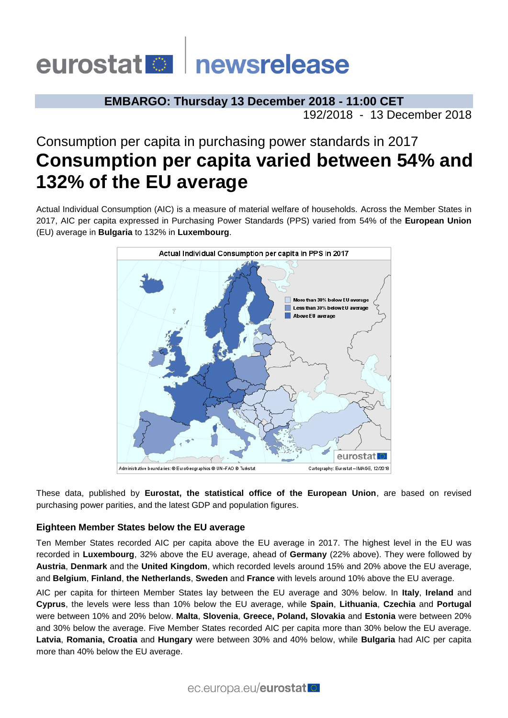# eurostat **Demokratische Schwarze**

**EMBARGO: Thursday 13 December 2018 - 11:00 CET** 192/2018 - 13 December 2018

# Consumption per capita in purchasing power standards in 2017 **Consumption per capita varied between 54% and 132% of the EU average**

Actual Individual Consumption (AIC) is a measure of material welfare of households. Across the Member States in 2017, AIC per capita expressed in Purchasing Power Standards (PPS) varied from 54% of the **European Union**  (EU) average in **Bulgaria** to 132% in **Luxembourg**.



These data, published by **Eurostat, the statistical office of the European Union**, are based on revised purchasing power parities, and the latest GDP and population figures.

## **Eighteen Member States below the EU average**

Ten Member States recorded AIC per capita above the EU average in 2017. The highest level in the EU was recorded in **Luxembourg**, 32% above the EU average, ahead of **Germany** (22% above). They were followed by **Austria**, **Denmark** and the **United Kingdom**, which recorded levels around 15% and 20% above the EU average, and **Belgium**, **Finland**, **the Netherlands**, **Sweden** and **France** with levels around 10% above the EU average.

AIC per capita for thirteen Member States lay between the EU average and 30% below. In **Italy**, **Ireland** and **Cyprus**, the levels were less than 10% below the EU average, while **Spain**, **Lithuania**, **Czechia** and **Portugal** were between 10% and 20% below. **Malta**, **Slovenia**, **Greece, Poland, Slovakia** and **Estonia** were between 20% and 30% below the average. Five Member States recorded AIC per capita more than 30% below the EU average. **Latvia**, **Romania, Croatia** and **Hungary** were between 30% and 40% below, while **Bulgaria** had AIC per capita more than 40% below the EU average.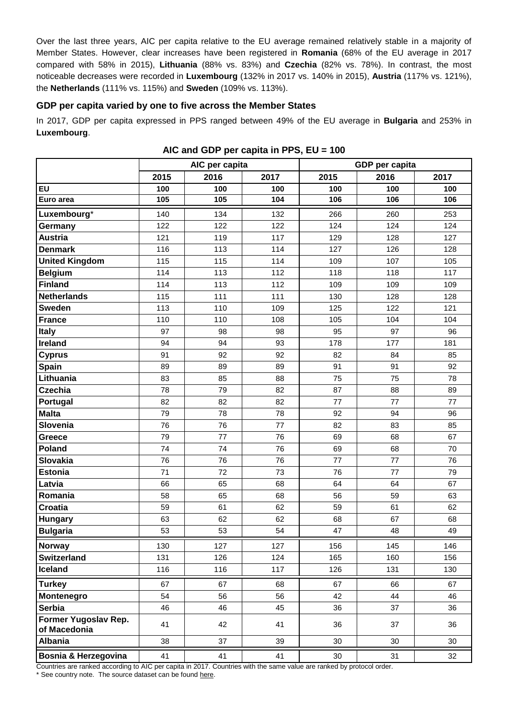Over the last three years, AIC per capita relative to the EU average remained relatively stable in a majority of Member States. However, clear increases have been registered in **Romania** (68% of the EU average in 2017 compared with 58% in 2015), **Lithuania** (88% vs. 83%) and **Czechia** (82% vs. 78%). In contrast, the most noticeable decreases were recorded in **Luxembourg** (132% in 2017 vs. 140% in 2015), **Austria** (117% vs. 121%), the **Netherlands** (111% vs. 115%) and **Sweden** (109% vs. 113%).

### **GDP per capita varied by one to five across the Member States**

In 2017, GDP per capita expressed in PPS ranged between 49% of the EU average in **Bulgaria** and 253% in **Luxembourg**.

|                                      | AIC per capita |      |      | GDP per capita |      |      |
|--------------------------------------|----------------|------|------|----------------|------|------|
|                                      | 2015           | 2016 | 2017 | 2015           | 2016 | 2017 |
| EU                                   | 100            | 100  | 100  | 100            | 100  | 100  |
| Euro area                            | 105            | 105  | 104  | 106            | 106  | 106  |
| Luxembourg*                          | 140            | 134  | 132  | 266            | 260  | 253  |
| Germany                              | 122            | 122  | 122  | 124            | 124  | 124  |
| <b>Austria</b>                       | 121            | 119  | 117  | 129            | 128  | 127  |
| <b>Denmark</b>                       | 116            | 113  | 114  | 127            | 126  | 128  |
| <b>United Kingdom</b>                | 115            | 115  | 114  | 109            | 107  | 105  |
| <b>Belgium</b>                       | 114            | 113  | 112  | 118            | 118  | 117  |
| <b>Finland</b>                       | 114            | 113  | 112  | 109            | 109  | 109  |
| <b>Netherlands</b>                   | 115            | 111  | 111  | 130            | 128  | 128  |
| <b>Sweden</b>                        | 113            | 110  | 109  | 125            | 122  | 121  |
| <b>France</b>                        | 110            | 110  | 108  | 105            | 104  | 104  |
| <b>Italy</b>                         | 97             | 98   | 98   | 95             | 97   | 96   |
| <b>Ireland</b>                       | 94             | 94   | 93   | 178            | 177  | 181  |
| <b>Cyprus</b>                        | 91             | 92   | 92   | 82             | 84   | 85   |
| Spain                                | 89             | 89   | 89   | 91             | 91   | 92   |
| Lithuania                            | 83             | 85   | 88   | 75             | 75   | 78   |
| <b>Czechia</b>                       | 78             | 79   | 82   | 87             | 88   | 89   |
| Portugal                             | 82             | 82   | 82   | 77             | 77   | 77   |
| <b>Malta</b>                         | 79             | 78   | 78   | 92             | 94   | 96   |
| Slovenia                             | 76             | 76   | 77   | 82             | 83   | 85   |
| Greece                               | 79             | 77   | 76   | 69             | 68   | 67   |
| <b>Poland</b>                        | 74             | 74   | 76   | 69             | 68   | 70   |
| <b>Slovakia</b>                      | 76             | 76   | 76   | 77             | 77   | 76   |
| <b>Estonia</b>                       | 71             | 72   | 73   | 76             | 77   | 79   |
| Latvia                               | 66             | 65   | 68   | 64             | 64   | 67   |
| Romania                              | 58             | 65   | 68   | 56             | 59   | 63   |
| <b>Croatia</b>                       | 59             | 61   | 62   | 59             | 61   | 62   |
| <b>Hungary</b>                       | 63             | 62   | 62   | 68             | 67   | 68   |
| <b>Bulgaria</b>                      | 53             | 53   | 54   | 47             | 48   | 49   |
| <b>Norway</b>                        | 130            | 127  | 127  | 156            | 145  | 146  |
| <b>Switzerland</b>                   | 131            | 126  | 124  | 165            | 160  | 156  |
| Iceland                              | 116            | 116  | 117  | 126            | 131  | 130  |
| <b>Turkey</b>                        | 67             | 67   | 68   | 67             | 66   | 67   |
| Montenegro                           | 54             | 56   | 56   | 42             | 44   | 46   |
| <b>Serbia</b>                        | 46             | 46   | 45   | 36             | 37   | 36   |
| Former Yugoslav Rep.<br>of Macedonia | 41             | 42   | 41   | 36             | 37   | 36   |
| <b>Albania</b>                       | 38             | 37   | 39   | 30             | 30   | 30   |
| Bosnia & Herzegovina                 | 41             | 41   | 41   | $30\,$         | 31   | 32   |

**AIC and GDP per capita in PPS, EU = 100**

Countries are ranked according to AIC per capita in 2017. Countries with the same value are ranked by protocol order.

\* See country note. The source dataset can be foun[d here.](http://appsso.eurostat.ec.europa.eu/nui/show.do?query=BOOKMARK_DS-053404_QID_-4C127E2B_UID_-3F171EB0&layout=AGGREG,L,X,0;TIME,C,X,1;GEO,L,Y,0;NA_ITEM,L,Z,0;INDICATORS,C,Z,1;&zSelection=DS-053404INDICATORS,OBS_FLAG;DS-053404NA_ITEM,VI_PPS_EU28_HAB;&rankName1=INDICATORS_1_2_-1_2&rankName2=NA-ITEM_1_2_-1_2&rankName3=AGGREG_1_2_0_0&rankName4=TIME_1_0_1_0&rankName5=GEO_1_2_0_1&rStp=&cStp=&rDCh=&cDCh=&rDM=true&cDM=true&footnes=false&empty=false&wai=false&time_mode=ROLLING&time_most_recent=true&lang=EN&cfo=%23%23%23%2C%23%23%23.%23%23%23)